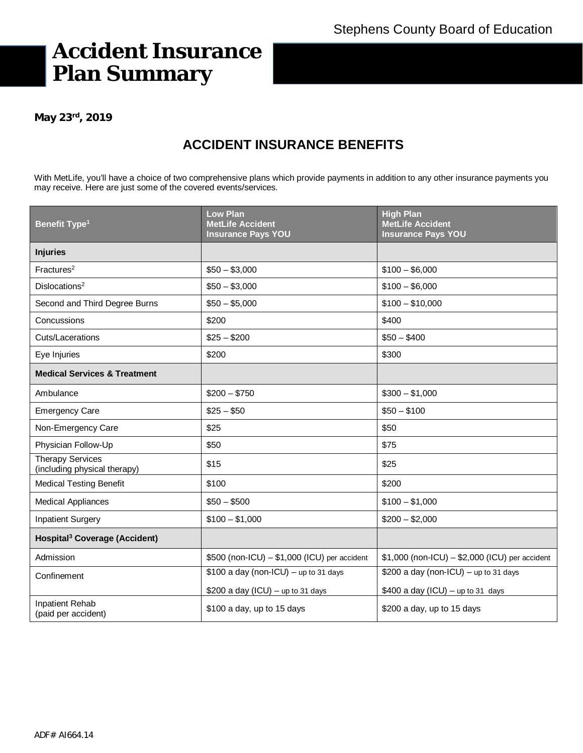# **Accident Insurance Plan Summary**

**May 23rd, 2019**

# **ACCIDENT INSURANCE BENEFITS**

With MetLife, you'll have a choice of two comprehensive plans which provide payments in addition to any other insurance payments you may receive. Here are just some of the covered events/services.

| <b>Benefit Type<sup>1</sup></b>                         | <b>Low Plan</b><br><b>MetLife Accident</b><br><b>Insurance Pays YOU</b> | <b>High Plan</b><br><b>MetLife Accident</b><br><b>Insurance Pays YOU</b> |
|---------------------------------------------------------|-------------------------------------------------------------------------|--------------------------------------------------------------------------|
| <b>Injuries</b>                                         |                                                                         |                                                                          |
| Fractures <sup>2</sup>                                  | $$50 - $3,000$                                                          | $$100 - $6,000$                                                          |
| Dislocations <sup>2</sup>                               | $$50 - $3,000$                                                          | $$100 - $6,000$                                                          |
| Second and Third Degree Burns                           | $$50 - $5,000$                                                          | $$100 - $10,000$                                                         |
| Concussions                                             | \$200                                                                   | \$400                                                                    |
| Cuts/Lacerations                                        | $$25 - $200$                                                            | $$50 - $400$                                                             |
| Eye Injuries                                            | \$200                                                                   | \$300                                                                    |
| <b>Medical Services &amp; Treatment</b>                 |                                                                         |                                                                          |
| Ambulance                                               | $$200 - $750$                                                           | $$300 - $1,000$                                                          |
| <b>Emergency Care</b>                                   | $$25 - $50$                                                             | $$50 - $100$                                                             |
| Non-Emergency Care                                      | \$25                                                                    | \$50                                                                     |
| Physician Follow-Up                                     | \$50                                                                    | \$75                                                                     |
| <b>Therapy Services</b><br>(including physical therapy) | \$15                                                                    | \$25                                                                     |
| <b>Medical Testing Benefit</b>                          | \$100                                                                   | \$200                                                                    |
| <b>Medical Appliances</b>                               | $$50 - $500$                                                            | $$100 - $1,000$                                                          |
| <b>Inpatient Surgery</b>                                | $$100 - $1,000$                                                         | $$200 - $2,000$                                                          |
| Hospital <sup>3</sup> Coverage (Accident)               |                                                                         |                                                                          |
| Admission                                               | $$500$ (non-ICU) $- $1,000$ (ICU) per accident                          | \$1,000 (non-ICU) - \$2,000 (ICU) per accident                           |
| Confinement                                             | $$100$ a day (non-ICU) - up to 31 days                                  | $$200$ a day (non-ICU) - up to 31 days                                   |
|                                                         | \$200 a day (ICU) $-$ up to 31 days                                     | \$400 a day (ICU) - up to 31 days                                        |
| <b>Inpatient Rehab</b><br>(paid per accident)           | \$100 a day, up to 15 days                                              | \$200 a day, up to 15 days                                               |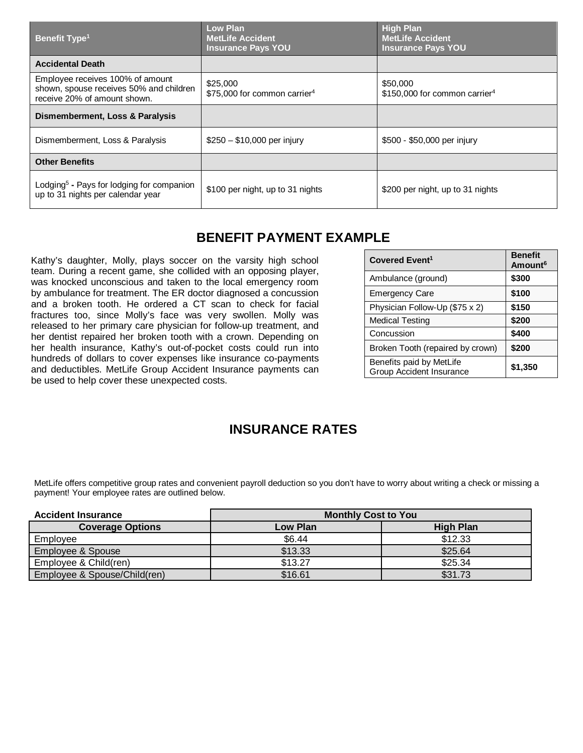| <b>Benefit Type<sup>1</sup></b>                                                                             | <b>Low Plan</b><br><b>MetLife Accident</b><br><b>Insurance Pays YOU</b> | <b>High Plan</b><br><b>MetLife Accident</b><br><b>Insurance Pays YOU</b> |
|-------------------------------------------------------------------------------------------------------------|-------------------------------------------------------------------------|--------------------------------------------------------------------------|
| <b>Accidental Death</b>                                                                                     |                                                                         |                                                                          |
| Employee receives 100% of amount<br>shown, spouse receives 50% and children<br>receive 20% of amount shown. | \$25,000<br>\$75,000 for common carrier <sup>4</sup>                    | \$50,000<br>\$150,000 for common carrier <sup>4</sup>                    |
| Dismemberment, Loss & Paralysis                                                                             |                                                                         |                                                                          |
| Dismemberment, Loss & Paralysis                                                                             | $$250 - $10,000$ per injury                                             | \$500 - \$50,000 per injury                                              |
| <b>Other Benefits</b>                                                                                       |                                                                         |                                                                          |
| Lodging <sup>5</sup> - Pays for lodging for companion<br>up to 31 nights per calendar year                  | \$100 per night, up to 31 nights                                        | \$200 per night, up to 31 nights                                         |

### **BENEFIT PAYMENT EXAMPLE**

Kathy's daughter, Molly, plays soccer on the varsity high school team. During a recent game, she collided with an opposing player, was knocked unconscious and taken to the local emergency room by ambulance for treatment. The ER doctor diagnosed a concussion and a broken tooth. He ordered a CT scan to check for facial fractures too, since Molly's face was very swollen. Molly was released to her primary care physician for follow-up treatment, and her dentist repaired her broken tooth with a crown. Depending on her health insurance, Kathy's out-of-pocket costs could run into hundreds of dollars to cover expenses like insurance co-payments and deductibles. MetLife Group Accident Insurance payments can be used to help cover these unexpected costs.

| Covered Event <sup>1</sup>                           | <b>Benefit</b><br>Amount <sup>6</sup> |
|------------------------------------------------------|---------------------------------------|
| Ambulance (ground)                                   | \$300                                 |
| <b>Emergency Care</b>                                | \$100                                 |
| Physician Follow-Up (\$75 x 2)                       | \$150                                 |
| <b>Medical Testing</b>                               | \$200                                 |
| Concussion                                           | \$400                                 |
| Broken Tooth (repaired by crown)                     | \$200                                 |
| Benefits paid by MetLife<br>Group Accident Insurance | \$1,350                               |

### **INSURANCE RATES**

MetLife offers competitive group rates and convenient payroll deduction so you don't have to worry about writing a check or missing a payment! Your employee rates are outlined below.

| <b>Accident Insurance</b>    | <b>Monthly Cost to You</b> |                  |
|------------------------------|----------------------------|------------------|
| <b>Coverage Options</b>      | <b>Low Plan</b>            | <b>High Plan</b> |
| Employee                     | \$6.44                     | \$12.33          |
| Employee & Spouse            | \$13.33                    | \$25.64          |
| Employee & Child(ren)        | \$13.27                    | \$25.34          |
| Employee & Spouse/Child(ren) | \$16.61                    | \$31.73          |